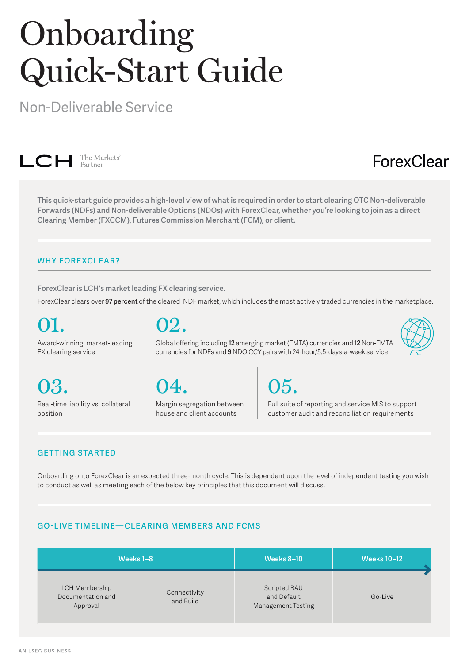# Onboarding Quick-Start Guide

Non-Deliverable Service



### ForexClear

**This quick-start guide provides a high-level view of what is required in order to start clearing OTC Non-deliverable Forwards (NDFs) and Non-deliverable Options (NDOs) with ForexClear, whether you're looking to join as a direct Clearing Member (FXCCM), Futures Commission Merchant (FCM), or client.**

### **WHY FOREXCLEAR?**

**ForexClear is LCH's market leading FX clearing service.** 

ForexClear clears over **97 percent** of the cleared NDF market, which includes the most actively traded currencies in the marketplace.

| 01.                                | 02.                                                                            |                                                    |
|------------------------------------|--------------------------------------------------------------------------------|----------------------------------------------------|
| Award-winning, market-leading      | Global offering including 12 emerging market (EMTA) currencies and 12 Non-EMTA |                                                    |
| FX clearing service                | currencies for NDFs and 9 NDO CCY pairs with 24-hour/5.5-days-a-week service   |                                                    |
| 03.                                | 04.                                                                            | 05.                                                |
| Real-time liability vs. collateral | Margin segregation between                                                     | Full suite of reporting and service MIS to support |
| position                           | house and client accounts                                                      | customer audit and reconciliation requirements     |

### **GET TING STARTED**

Onboarding onto ForexClear is an expected three-month cycle. This is dependent upon the level of independent testing you wish to conduct as well as meeting each of the below key principles that this document will discuss.

### **GO-LIVE TIMELINE—CLEARING MEMBERS AND FCMS**

|                                                 | Weeks 1-8                 | <b>Weeks 8-10</b>                                        | <b>Weeks 10-12</b> |
|-------------------------------------------------|---------------------------|----------------------------------------------------------|--------------------|
| LCH Membership<br>Documentation and<br>Approval | Connectivity<br>and Build | Scripted BAU<br>and Default<br><b>Management Testing</b> | Go-Live            |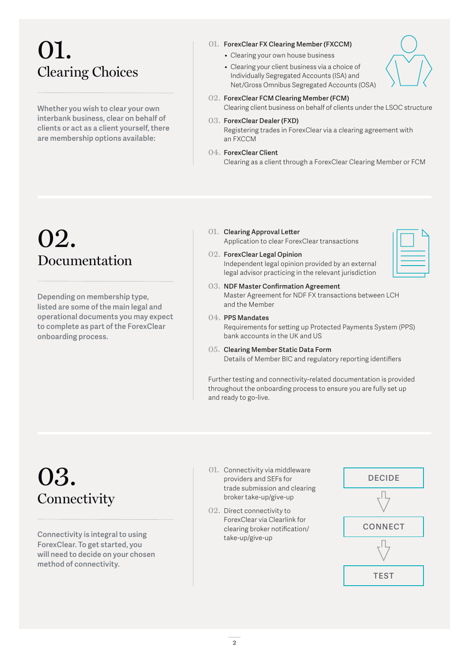# 01. Clearing Choices

**Whether you wish to clear your own interbank business, clear on behalf of clients or act as a client yourself, there are membership options available:**

#### 01. **ForexClear FX Clearing Member (FXCCM)**

- Clearing your own house business
- Clearing your client business via a choice of Individually Segregated Accounts (ISA) and Net/Gross Omnibus Segregated Accounts (OSA)
- 02. **ForexClear FCM Clearing Member (FCM)** Clearing client business on behalf of clients under the LSOC structure

#### 03. **ForexClear Dealer (FXD)**

Registering trades in ForexClear via a clearing agreement with an FXCCM

04. **ForexClear Client** 

Clearing as a client through a ForexClear Clearing Member or FCM

### 02. Documentation

**Depending on membership type, listed are some of the main legal and operational documents you may expect to complete as part of the ForexClear onboarding process.** 

- 01. **Clearing Approval Letter** Application to clear ForexClear transactions
- 02. **ForexClear Legal Opinion** Independent legal opinion provided by an external legal advisor practicing in the relevant jurisdiction
- 03. **NDF Master Confirmation Agreement** Master Agreement for NDF FX transactions between LCH and the Member
- 04. **PPS Mandates** Requirements for setting up Protected Payments System (PPS) bank accounts in the UK and US
- 05. **Clearing Member Static Data Form** Details of Member BIC and regulatory reporting identifiers

Further testing and connectivity-related documentation is provided throughout the onboarding process to ensure you are fully set up and ready to go-live.

# 03. **Connectivity**

**Connectivity is integral to using ForexClear. To get started, you will need to decide on your chosen method of connectivity.**

- 01. Connectivity via middleware providers and SEFs for trade submission and clearing broker take-up/give-up
- 02. Direct connectivity to ForexClear via Clearlink for clearing broker notification/ take-up/give-up

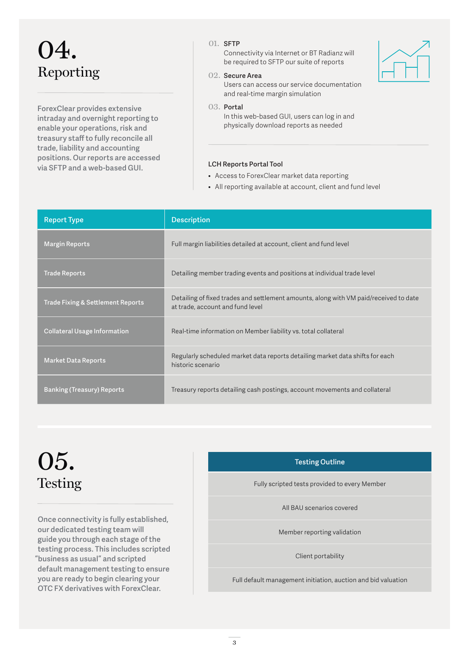# 04. Reporting

**ForexClear provides extensive intraday and overnight reporting to enable your operations, risk and treasury staff to fully reconcile all trade, liability and accounting positions. Our reports are accessed via SFTP and a web-based GUI.**

#### 01. **SFTP**

Connectivity via Internet or BT Radianz will be required to SFTP our suite of reports



Users can access our service documentation and real-time margin simulation

#### 03. **Portal**

In this web-based GUI, users can log in and physically download reports as needed

#### **LCH Reports Portal Tool**

- Access to ForexClear market data reporting
- All reporting available at account, client and fund level

| <b>Report Type</b>                           | <b>Description</b>                                                                                                        |
|----------------------------------------------|---------------------------------------------------------------------------------------------------------------------------|
| <b>Margin Reports</b>                        | Full margin liabilities detailed at account, client and fund level                                                        |
| <b>Trade Reports</b>                         | Detailing member trading events and positions at individual trade level                                                   |
| <b>Trade Fixing &amp; Settlement Reports</b> | Detailing of fixed trades and settlement amounts, along with VM paid/received to date<br>at trade, account and fund level |
| <b>Collateral Usage Information</b>          | Real-time information on Member liability vs. total collateral                                                            |
| <b>Market Data Reports</b>                   | Regularly scheduled market data reports detailing market data shifts for each<br>historic scenario                        |
| <b>Banking (Treasury) Reports</b>            | Treasury reports detailing cash postings, account movements and collateral                                                |

## 05. **Testing**

**Once connectivity is fully established, our dedicated testing team will guide you through each stage of the testing process. This includes scripted "business as usual" and scripted default management testing to ensure you are ready to begin clearing your OTC FX derivatives with ForexClear.**

#### **Testing Outline**

Fully scripted tests provided to every Member

All BAU scenarios covered

Member reporting validation

Client portability

Full default management initiation, auction and bid valuation